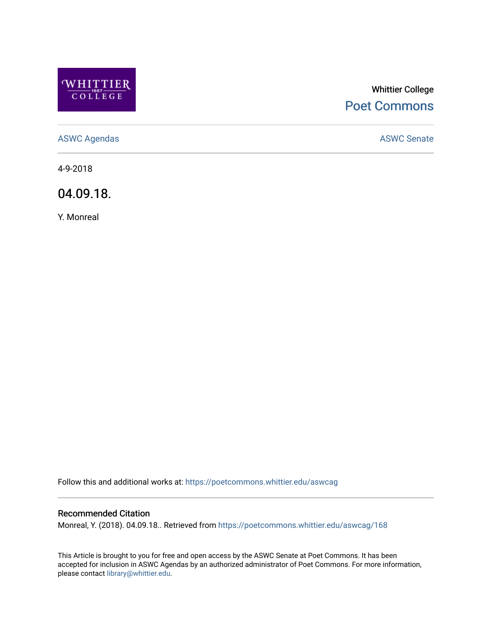

# Whittier College [Poet Commons](https://poetcommons.whittier.edu/)

[ASWC Agendas](https://poetcommons.whittier.edu/aswcag) **ASWC Senate** 

4-9-2018

04.09.18.

Y. Monreal

Follow this and additional works at: [https://poetcommons.whittier.edu/aswcag](https://poetcommons.whittier.edu/aswcag?utm_source=poetcommons.whittier.edu%2Faswcag%2F168&utm_medium=PDF&utm_campaign=PDFCoverPages) 

## Recommended Citation

Monreal, Y. (2018). 04.09.18.. Retrieved from [https://poetcommons.whittier.edu/aswcag/168](https://poetcommons.whittier.edu/aswcag/168?utm_source=poetcommons.whittier.edu%2Faswcag%2F168&utm_medium=PDF&utm_campaign=PDFCoverPages) 

This Article is brought to you for free and open access by the ASWC Senate at Poet Commons. It has been accepted for inclusion in ASWC Agendas by an authorized administrator of Poet Commons. For more information, please contact [library@whittier.edu](mailto:library@whittier.edu).